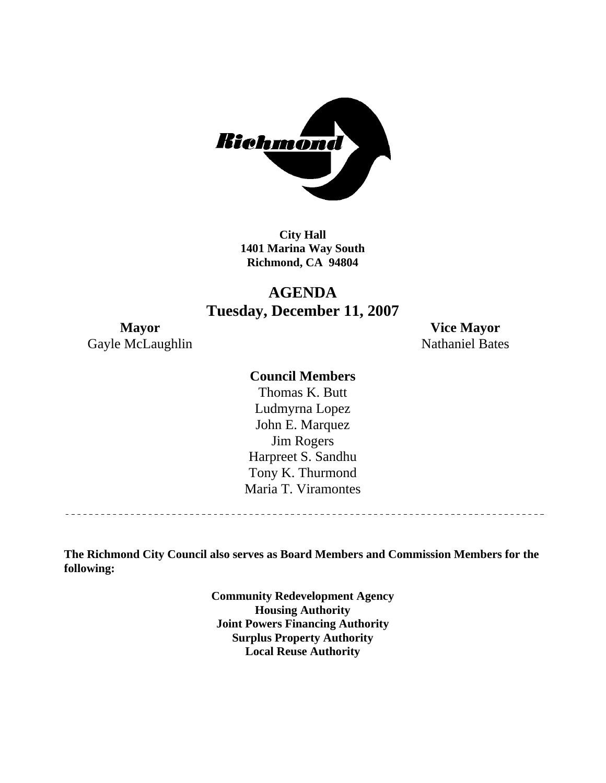

**City Hall 1401 Marina Way South Richmond, CA 94804** 

# **AGENDA Tuesday, December 11, 2007**

Gayle McLaughlin Nathaniel Bates

**Mayor Vice Mayor** 

#### **Council Members**

Harpreet S. Sandhu Tony K. Thurmond Maria T. Viramontes Thomas K. Butt Ludmyrna Lopez John E. Marquez Jim Rogers

**The Richmond City Council also serves as Board Members and Commission Members for the following:** 

> **Community Redevelopment Agency Housing Authority Joint Powers Financing Authority Surplus Property Authority Local Reuse Authority**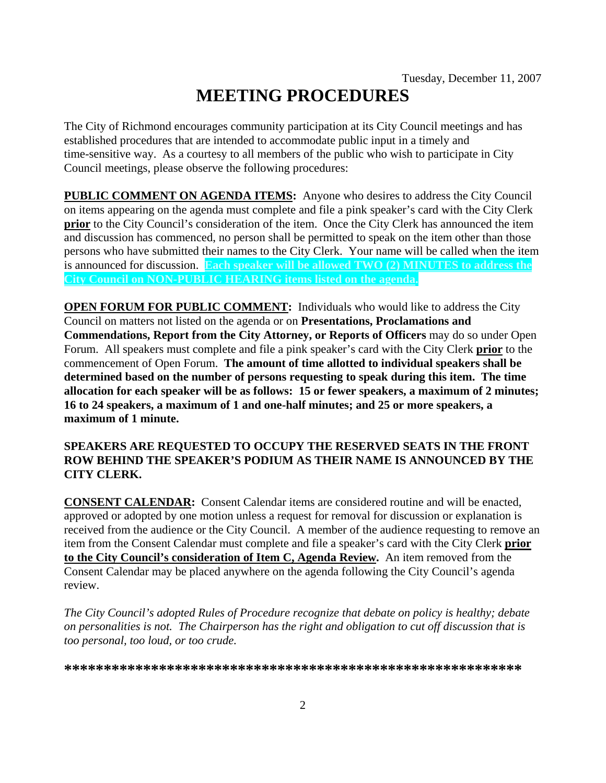# **MEETING PROCEDURES**

The City of Richmond encourages community participation at its City Council meetings and has established procedures that are intended to accommodate public input in a timely and time-sensitive way. As a courtesy to all members of the public who wish to participate in City Council meetings, please observe the following procedures:

**PUBLIC COMMENT ON AGENDA ITEMS:** Anyone who desires to address the City Council on items appearing on the agenda must complete and file a pink speaker's card with the City Clerk **prior** to the City Council's consideration of the item. Once the City Clerk has announced the item and discussion has commenced, no person shall be permitted to speak on the item other than those persons who have submitted their names to the City Clerk. Your name will be called when the item is announced for discussion. **Each speaker will be allowed TWO (2) MINUTES to address the City Council on NON-PUBLIC HEARING items listed on the agenda.** 

**OPEN FORUM FOR PUBLIC COMMENT:** Individuals who would like to address the City Council on matters not listed on the agenda or on **Presentations, Proclamations and Commendations, Report from the City Attorney, or Reports of Officers** may do so under Open Forum. All speakers must complete and file a pink speaker's card with the City Clerk **prior** to the commencement of Open Forum. **The amount of time allotted to individual speakers shall be determined based on the number of persons requesting to speak during this item. The time allocation for each speaker will be as follows: 15 or fewer speakers, a maximum of 2 minutes; 16 to 24 speakers, a maximum of 1 and one-half minutes; and 25 or more speakers, a maximum of 1 minute.** 

#### **SPEAKERS ARE REQUESTED TO OCCUPY THE RESERVED SEATS IN THE FRONT ROW BEHIND THE SPEAKER'S PODIUM AS THEIR NAME IS ANNOUNCED BY THE CITY CLERK.**

**CONSENT CALENDAR:** Consent Calendar items are considered routine and will be enacted, approved or adopted by one motion unless a request for removal for discussion or explanation is received from the audience or the City Council. A member of the audience requesting to remove an item from the Consent Calendar must complete and file a speaker's card with the City Clerk **prior to the City Council's consideration of Item C, Agenda Review.** An item removed from the Consent Calendar may be placed anywhere on the agenda following the City Council's agenda review.

*The City Council's adopted Rules of Procedure recognize that debate on policy is healthy; debate on personalities is not. The Chairperson has the right and obligation to cut off discussion that is too personal, too loud, or too crude.* 

**\*\*\*\*\*\*\*\*\*\*\*\*\*\*\*\*\*\*\*\*\*\*\*\*\*\*\*\*\*\*\*\*\*\*\*\*\*\*\*\*\*\*\*\*\*\*\*\*\*\*\*\*\*\*\*\*\*\***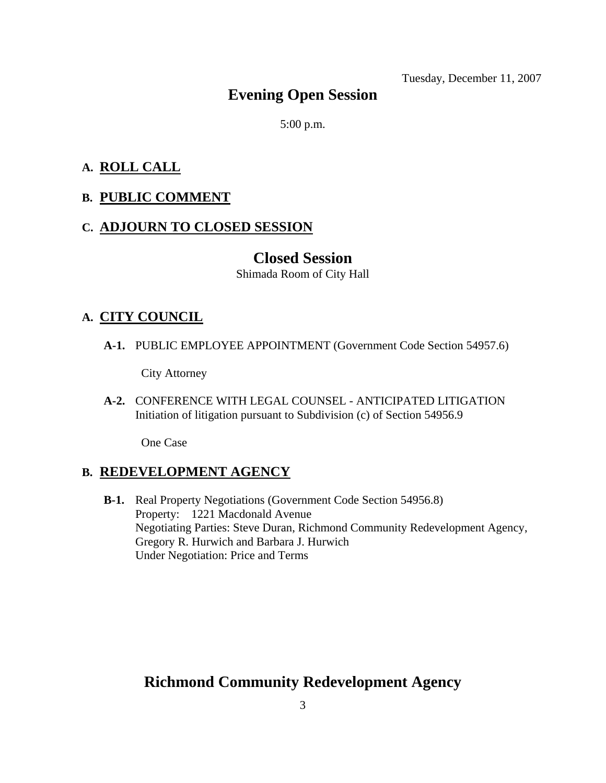Tuesday, December 11, 2007

# **Evening Open Session**

5:00 p.m.

#### **A. ROLL CALL**

#### **B. PUBLIC COMMENT**

#### **C. ADJOURN TO CLOSED SESSION**

#### **Closed Session**

Shimada Room of City Hall

#### **A. CITY COUNCIL**

 **A-1.** PUBLIC EMPLOYEE APPOINTMENT (Government Code Section 54957.6)

City Attorney

 **A-2.** CONFERENCE WITH LEGAL COUNSEL - ANTICIPATED LITIGATION Initiation of litigation pursuant to Subdivision (c) of Section 54956.9

One Case

#### **B. REDEVELOPMENT AGENCY**

 **B-1.** Real Property Negotiations (Government Code Section 54956.8) Property: 1221 Macdonald Avenue Negotiating Parties: Steve Duran, Richmond Community Redevelopment Agency, Gregory R. Hurwich and Barbara J. Hurwich Under Negotiation: Price and Terms

# **Richmond Community Redevelopment Agency**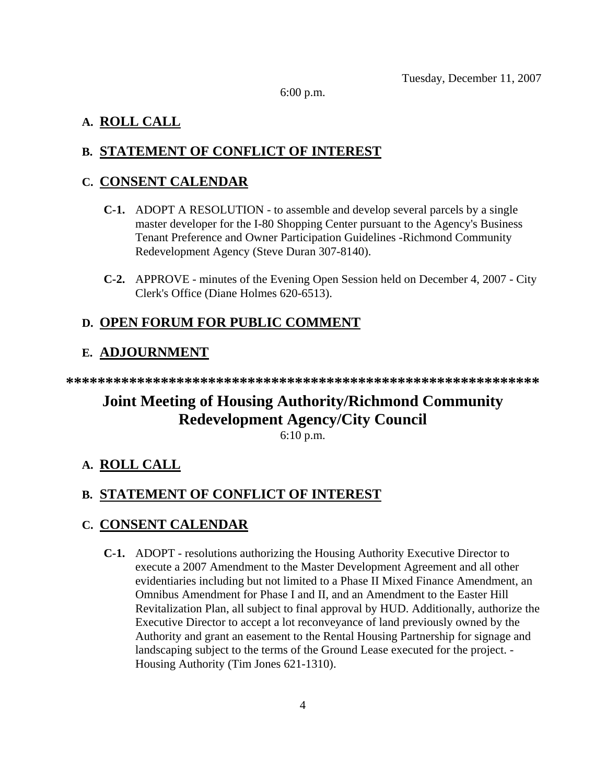6:00 p.m.

## **A. ROLL CALL**

# **B. STATEMENT OF CONFLICT OF INTEREST**

## **C. CONSENT CALENDAR**

- **C-1.** ADOPT A RESOLUTION to assemble and develop several parcels by a single master developer for the I-80 Shopping Center pursuant to the Agency's Business Tenant Preference and Owner Participation Guidelines -Richmond Community Redevelopment Agency (Steve Duran 307-8140).
- **C-2.** APPROVE minutes of the Evening Open Session held on December 4, 2007 City Clerk's Office (Diane Holmes 620-6513).

# **D. OPEN FORUM FOR PUBLIC COMMENT**

# **E. ADJOURNMENT**

**\*\*\*\*\*\*\*\*\*\*\*\*\*\*\*\*\*\*\*\*\*\*\*\*\*\*\*\*\*\*\*\*\*\*\*\*\*\*\*\*\*\*\*\*\*\*\*\*\*\*\*\*\*\*\*\*\*\*\*\*** 

# **Joint Meeting of Housing Authority/Richmond Community Redevelopment Agency/City Council**

6:10 p.m.

# **A. ROLL CALL**

# **B. STATEMENT OF CONFLICT OF INTEREST**

# **C. CONSENT CALENDAR**

 **C-1.** ADOPT - resolutions authorizing the Housing Authority Executive Director to execute a 2007 Amendment to the Master Development Agreement and all other evidentiaries including but not limited to a Phase II Mixed Finance Amendment, an Omnibus Amendment for Phase I and II, and an Amendment to the Easter Hill Revitalization Plan, all subject to final approval by HUD. Additionally, authorize the Executive Director to accept a lot reconveyance of land previously owned by the Authority and grant an easement to the Rental Housing Partnership for signage and landscaping subject to the terms of the Ground Lease executed for the project. - Housing Authority (Tim Jones 621-1310).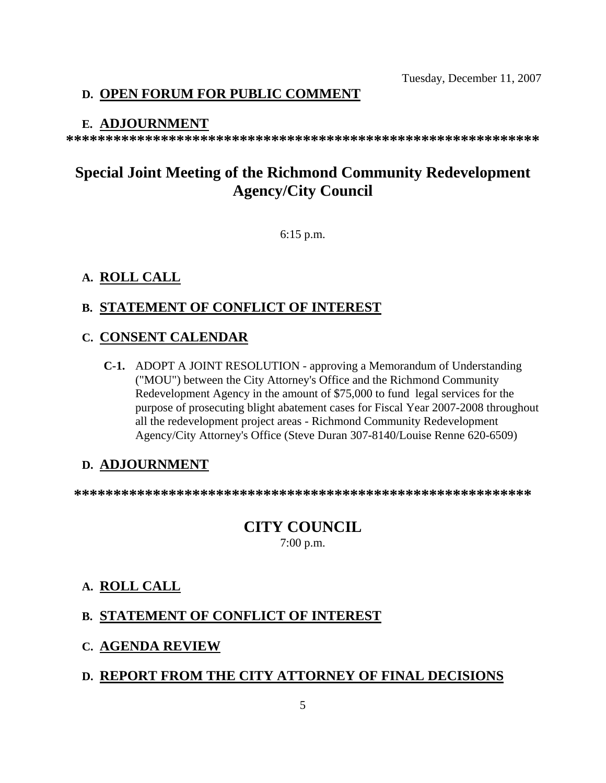Tuesday, December 11, 2007

# **D. OPEN FORUM FOR PUBLIC COMMENT**

#### **E. ADJOURNMENT**

**\*\*\*\*\*\*\*\*\*\*\*\*\*\*\*\*\*\*\*\*\*\*\*\*\*\*\*\*\*\*\*\*\*\*\*\*\*\*\*\*\*\*\*\*\*\*\*\*\*\*\*\*\*\*\*\*\*\*\*\*** 

# **Special Joint Meeting of the Richmond Community Redevelopment Agency/City Council**

6:15 p.m.

#### **A. ROLL CALL**

#### **B. STATEMENT OF CONFLICT OF INTEREST**

#### **C. CONSENT CALENDAR**

 **C-1.** ADOPT A JOINT RESOLUTION - approving a Memorandum of Understanding ("MOU") between the City Attorney's Office and the Richmond Community Redevelopment Agency in the amount of \$75,000 to fund legal services for the purpose of prosecuting blight abatement cases for Fiscal Year 2007-2008 throughout all the redevelopment project areas - Richmond Community Redevelopment Agency/City Attorney's Office (Steve Duran 307-8140/Louise Renne 620-6509)

#### **D. ADJOURNMENT**

**\*\*\*\*\*\*\*\*\*\*\*\*\*\*\*\*\*\*\*\*\*\*\*\*\*\*\*\*\*\*\*\*\*\*\*\*\*\*\*\*\*\*\*\*\*\*\*\*\*\*\*\*\*\*\*\*\*\*** 

# **CITY COUNCIL**

7:00 p.m.

#### **A. ROLL CALL**

#### **B. STATEMENT OF CONFLICT OF INTEREST**

#### **C. AGENDA REVIEW**

#### **D. REPORT FROM THE CITY ATTORNEY OF FINAL DECISIONS**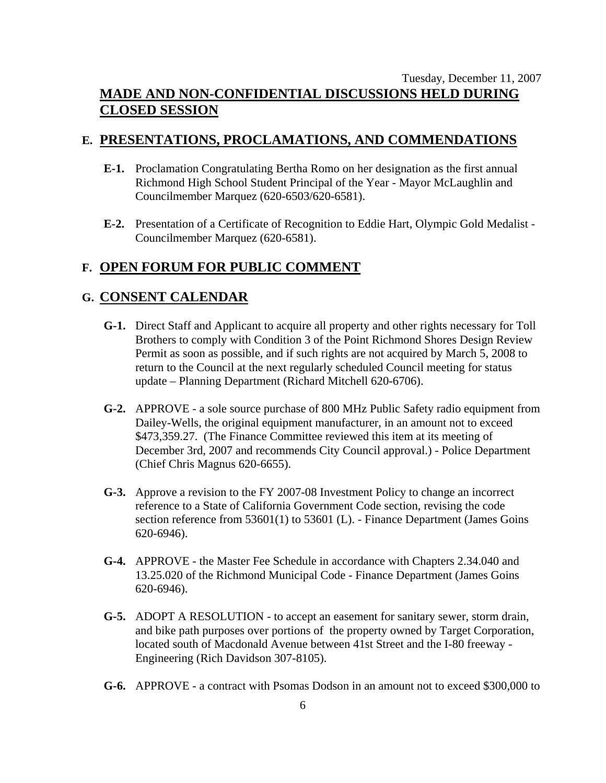#### Tuesday, December 11, 2007 **MADE AND NON-CONFIDENTIAL DISCUSSIONS HELD DURING CLOSED SESSION**

#### **E. PRESENTATIONS, PROCLAMATIONS, AND COMMENDATIONS**

- **E-1.** Proclamation Congratulating Bertha Romo on her designation as the first annual Richmond High School Student Principal of the Year - Mayor McLaughlin and Councilmember Marquez (620-6503/620-6581).
- **E-2.** Presentation of a Certificate of Recognition to Eddie Hart, Olympic Gold Medalist Councilmember Marquez (620-6581).

#### **F. OPEN FORUM FOR PUBLIC COMMENT**

#### **G. CONSENT CALENDAR**

- **G-1.** Direct Staff and Applicant to acquire all property and other rights necessary for Toll Brothers to comply with Condition 3 of the Point Richmond Shores Design Review Permit as soon as possible, and if such rights are not acquired by March 5, 2008 to return to the Council at the next regularly scheduled Council meeting for status update – Planning Department (Richard Mitchell 620-6706).
- **G-2.** APPROVE a sole source purchase of 800 MHz Public Safety radio equipment from Dailey-Wells, the original equipment manufacturer, in an amount not to exceed \$473,359.27. (The Finance Committee reviewed this item at its meeting of December 3rd, 2007 and recommends City Council approval.) - Police Department (Chief Chris Magnus 620-6655).
- **G-3.** Approve a revision to the FY 2007-08 Investment Policy to change an incorrect reference to a State of California Government Code section, revising the code section reference from 53601(1) to 53601 (L). - Finance Department (James Goins 620-6946).
- **G-4.** APPROVE the Master Fee Schedule in accordance with Chapters 2.34.040 and 13.25.020 of the Richmond Municipal Code - Finance Department (James Goins 620-6946).
- **G-5.** ADOPT A RESOLUTION to accept an easement for sanitary sewer, storm drain, and bike path purposes over portions of the property owned by Target Corporation, located south of Macdonald Avenue between 41st Street and the I-80 freeway - Engineering (Rich Davidson 307-8105).
- **G-6.** APPROVE a contract with Psomas Dodson in an amount not to exceed \$300,000 to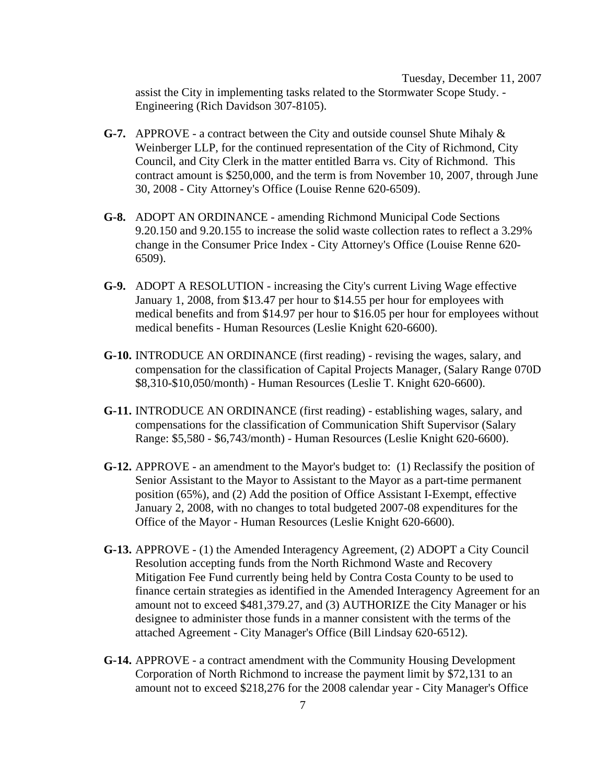Tuesday, December 11, 2007 assist the City in implementing tasks related to the Stormwater Scope Study. - Engineering (Rich Davidson 307-8105).

- **G-7.** APPROVE a contract between the City and outside counsel Shute Mihaly & Weinberger LLP, for the continued representation of the City of Richmond, City Council, and City Clerk in the matter entitled Barra vs. City of Richmond. This contract amount is \$250,000, and the term is from November 10, 2007, through June 30, 2008 - City Attorney's Office (Louise Renne 620-6509).
- **G-8.** ADOPT AN ORDINANCE amending Richmond Municipal Code Sections 9.20.150 and 9.20.155 to increase the solid waste collection rates to reflect a 3.29% change in the Consumer Price Index - City Attorney's Office (Louise Renne 620- 6509).
- **G-9.** ADOPT A RESOLUTION increasing the City's current Living Wage effective January 1, 2008, from \$13.47 per hour to \$14.55 per hour for employees with medical benefits and from \$14.97 per hour to \$16.05 per hour for employees without medical benefits - Human Resources (Leslie Knight 620-6600).
- **G-10.** INTRODUCE AN ORDINANCE (first reading) revising the wages, salary, and compensation for the classification of Capital Projects Manager, (Salary Range 070D \$8,310-\$10,050/month) - Human Resources (Leslie T. Knight 620-6600).
- **G-11.** INTRODUCE AN ORDINANCE (first reading) establishing wages, salary, and compensations for the classification of Communication Shift Supervisor (Salary Range: \$5,580 - \$6,743/month) - Human Resources (Leslie Knight 620-6600).
- **G-12.** APPROVE an amendment to the Mayor's budget to: (1) Reclassify the position of Senior Assistant to the Mayor to Assistant to the Mayor as a part-time permanent position (65%), and (2) Add the position of Office Assistant I-Exempt, effective January 2, 2008, with no changes to total budgeted 2007-08 expenditures for the Office of the Mayor - Human Resources (Leslie Knight 620-6600).
- **G-13.** APPROVE (1) the Amended Interagency Agreement, (2) ADOPT a City Council Resolution accepting funds from the North Richmond Waste and Recovery Mitigation Fee Fund currently being held by Contra Costa County to be used to finance certain strategies as identified in the Amended Interagency Agreement for an amount not to exceed \$481,379.27, and (3) AUTHORIZE the City Manager or his designee to administer those funds in a manner consistent with the terms of the attached Agreement - City Manager's Office (Bill Lindsay 620-6512).
- **G-14.** APPROVE a contract amendment with the Community Housing Development Corporation of North Richmond to increase the payment limit by \$72,131 to an amount not to exceed \$218,276 for the 2008 calendar year - City Manager's Office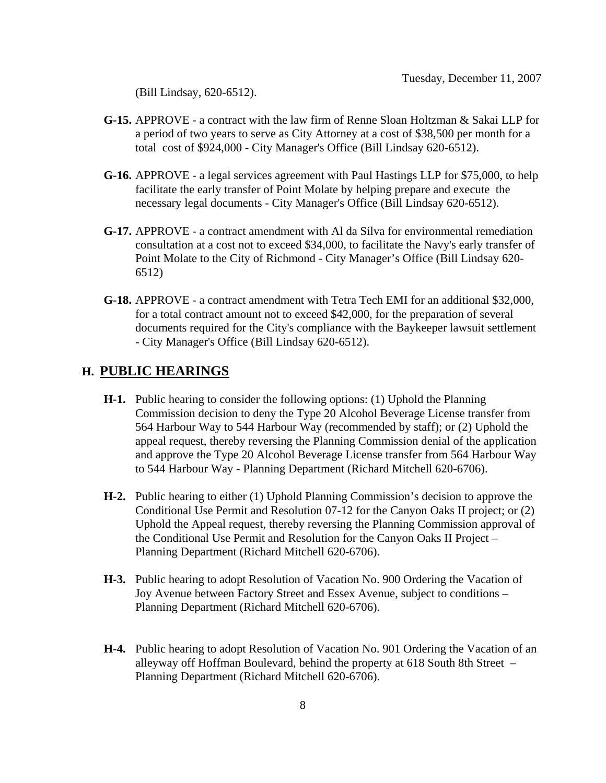(Bill Lindsay, 620-6512).

- **G-15.** APPROVE a contract with the law firm of Renne Sloan Holtzman & Sakai LLP for a period of two years to serve as City Attorney at a cost of \$38,500 per month for a total cost of \$924,000 - City Manager's Office (Bill Lindsay 620-6512).
- **G-16.** APPROVE a legal services agreement with Paul Hastings LLP for \$75,000, to help facilitate the early transfer of Point Molate by helping prepare and execute the necessary legal documents - City Manager's Office (Bill Lindsay 620-6512).
- **G-17.** APPROVE a contract amendment with Al da Silva for environmental remediation consultation at a cost not to exceed \$34,000, to facilitate the Navy's early transfer of Point Molate to the City of Richmond - City Manager's Office (Bill Lindsay 620- 6512)
- **G-18.** APPROVE a contract amendment with Tetra Tech EMI for an additional \$32,000, for a total contract amount not to exceed \$42,000, for the preparation of several documents required for the City's compliance with the Baykeeper lawsuit settlement - City Manager's Office (Bill Lindsay 620-6512).

## **H. PUBLIC HEARINGS**

- **H-1.** Public hearing to consider the following options: (1) Uphold the Planning Commission decision to deny the Type 20 Alcohol Beverage License transfer from 564 Harbour Way to 544 Harbour Way (recommended by staff); or (2) Uphold the appeal request, thereby reversing the Planning Commission denial of the application and approve the Type 20 Alcohol Beverage License transfer from 564 Harbour Way to 544 Harbour Way - Planning Department (Richard Mitchell 620-6706).
- **H-2.** Public hearing to either (1) Uphold Planning Commission's decision to approve the Conditional Use Permit and Resolution 07-12 for the Canyon Oaks II project; or (2) Uphold the Appeal request, thereby reversing the Planning Commission approval of the Conditional Use Permit and Resolution for the Canyon Oaks II Project – Planning Department (Richard Mitchell 620-6706).
- **H-3.** Public hearing to adopt Resolution of Vacation No. 900 Ordering the Vacation of Joy Avenue between Factory Street and Essex Avenue, subject to conditions – Planning Department (Richard Mitchell 620-6706).
- **H-4.** Public hearing to adopt Resolution of Vacation No. 901 Ordering the Vacation of an alleyway off Hoffman Boulevard, behind the property at 618 South 8th Street – Planning Department (Richard Mitchell 620-6706).